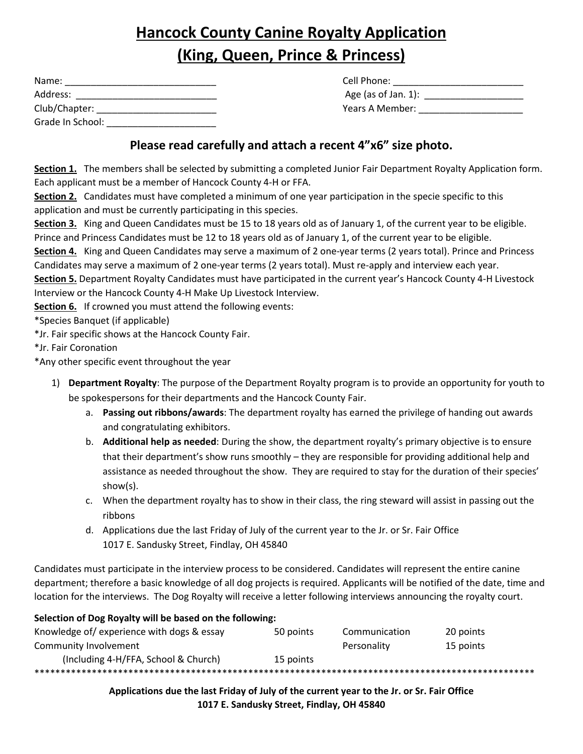# **Hancock County Canine Royalty Application (King, Queen, Prince & Princess)**

| Name:            | Cell Phone:            |
|------------------|------------------------|
| Address:         | Age (as of Jan. $1$ ): |
| Club/Chapter:    | Years A Member:        |
| Grade In School: |                        |

# **Please read carefully and attach a recent 4"x6" size photo.**

**Section 1.** The members shall be selected by submitting a completed Junior Fair Department Royalty Application form. Each applicant must be a member of Hancock County 4-H or FFA.

**Section 2.** Candidates must have completed a minimum of one year participation in the specie specific to this application and must be currently participating in this species.

**Section 3.** King and Queen Candidates must be 15 to 18 years old as of January 1, of the current year to be eligible. Prince and Princess Candidates must be 12 to 18 years old as of January 1, of the current year to be eligible.

**Section 4.** King and Queen Candidates may serve a maximum of 2 one-year terms (2 years total). Prince and Princess Candidates may serve a maximum of 2 one-year terms (2 years total). Must re-apply and interview each year.

**Section 5.** Department Royalty Candidates must have participated in the current year's Hancock County 4-H Livestock Interview or the Hancock County 4-H Make Up Livestock Interview.

**Section 6.** If crowned you must attend the following events:

\*Species Banquet (if applicable)

\*Jr. Fair specific shows at the Hancock County Fair.

\*Jr. Fair Coronation

\*Any other specific event throughout the year

- 1) **Department Royalty**: The purpose of the Department Royalty program is to provide an opportunity for youth to be spokespersons for their departments and the Hancock County Fair.
	- a. **Passing out ribbons/awards**: The department royalty has earned the privilege of handing out awards and congratulating exhibitors.
	- b. **Additional help as needed**: During the show, the department royalty's primary objective is to ensure that their department's show runs smoothly – they are responsible for providing additional help and assistance as needed throughout the show. They are required to stay for the duration of their species' show(s).
	- c. When the department royalty has to show in their class, the ring steward will assist in passing out the ribbons
	- d. Applications due the last Friday of July of the current year to the Jr. or Sr. Fair Office 1017 E. Sandusky Street, Findlay, OH 45840

Candidates must participate in the interview process to be considered. Candidates will represent the entire canine department; therefore a basic knowledge of all dog projects is required. Applicants will be notified of the date, time and location for the interviews. The Dog Royalty will receive a letter following interviews announcing the royalty court.

## **Selection of Dog Royalty will be based on the following:** Knowledge of/ experience with dogs & essay 50 points Communication 20 points Community Involvement Personality 15 points (Including 4-H/FFA, School & Church) 15 points \*\*\*\*\*\*\*\*\*\*\*\*\*\*\*\*\*\*\*\*\*\*\*\*\*\*\*\*\*\*\*\*\*\*\*\*\*\*\*\*\*\*\*\*\*\*\*\*\*\*\*\*\*\*\*\*\*\*\*\*\*\*\*\*\*\*\*\*\*\*\*\*\*\*\*\*\*\*\*\*\*\*\*\*\*\*\*\*\*\*\*\*\*\*\*\*

**Applications due the last Friday of July of the current year to the Jr. or Sr. Fair Office 1017 E. Sandusky Street, Findlay, OH 45840**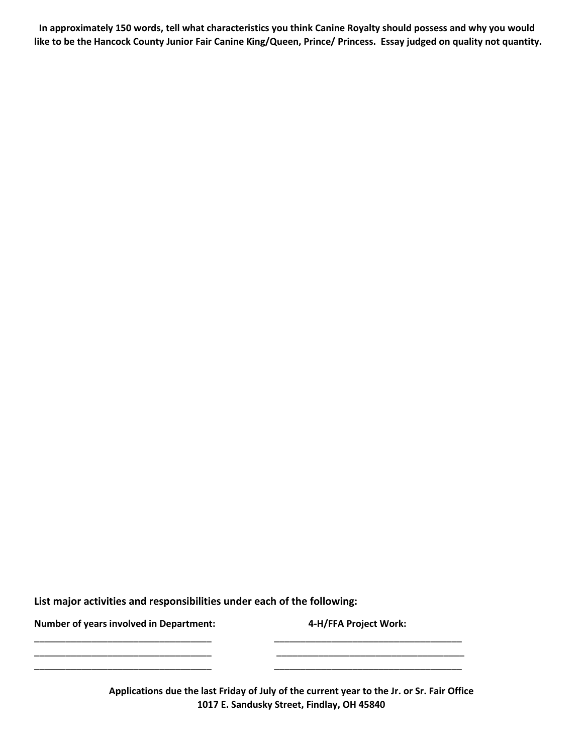**In approximately 150 words, tell what characteristics you think Canine Royalty should possess and why you would**  like to be the Hancock County Junior Fair Canine King/Queen, Prince/ Princess. Essay judged on quality not quantity.

**List major activities and responsibilities under each of the following:**

**Number of years involved in Department: 4-H/FFA Project Work:**

**Applications due the last Friday of July of the current year to the Jr. or Sr. Fair Office 1017 E. Sandusky Street, Findlay, OH 45840**

\_\_\_\_\_\_\_\_\_\_\_\_\_\_\_\_\_\_\_\_\_\_\_\_\_\_\_\_\_\_\_\_\_\_ \_\_\_\_\_\_\_\_\_\_\_\_\_\_\_\_\_\_\_\_\_\_\_\_\_\_\_\_\_\_\_\_\_\_\_\_ \_\_\_\_\_\_\_\_\_\_\_\_\_\_\_\_\_\_\_\_\_\_\_\_\_\_\_\_\_\_\_\_\_\_ \_\_\_\_\_\_\_\_\_\_\_\_\_\_\_\_\_\_\_\_\_\_\_\_\_\_\_\_\_\_\_\_\_\_\_\_

\_\_\_\_\_\_\_\_\_\_\_\_\_\_\_\_\_\_\_\_\_\_\_\_\_\_\_\_\_\_\_\_\_\_ \_\_\_\_\_\_\_\_\_\_\_\_\_\_\_\_\_\_\_\_\_\_\_\_\_\_\_\_\_\_\_\_\_\_\_\_